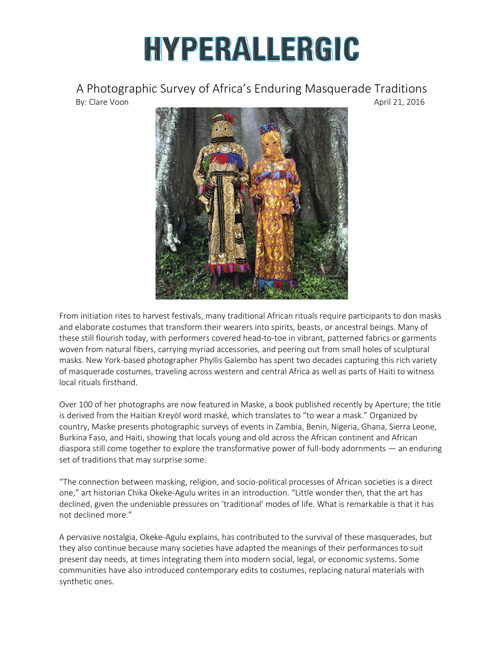## HYPERALLERGIC

A Photographic Survey of Africa's Enduring Masquerade Traditions By: Clare Voon April 21, 2016



From initiation rites to harvest festivals, many traditional African rituals require participants to don masks and elaborate costumes that transform their wearers into spirits, beasts, or ancestral beings. Many of these still flourish today, with performers covered head-to-toe in vibrant, patterned fabrics or garments woven from natural fibers, carrying myriad accessories, and peering out from small holes of sculptural masks. New York-based photographer Phyllis Galembo has spent two decades capturing this rich variety of masquerade costumes, traveling across western and central Africa as well as parts of Haiti to witness local rituals firsthand.

Over 100 of her photographs are now featured in Maske, a book published recently by Aperture; the title is derived from the Haitian Kreyòl word maské, which translates to "to wear a mask." Organized by country, Maske presents photographic surveys of events in Zambia, Benin, Nigeria, Ghana, Sierra Leone, Burkina Faso, and Haiti, showing that locals young and old across the African continent and African diaspora still come together to explore the transformative power of full-body adornments — an enduring set of traditions that may surprise some.

"The connection between masking, religion, and socio-political processes of African societies is a direct one," art historian Chika Okeke-Agulu writes in an introduction. "Little wonder then, that the art has declined, given the undeniable pressures on 'traditional' modes of life. What is remarkable is that it has not declined more."

A pervasive nostalgia, Okeke-Agulu explains, has contributed to the survival of these masquerades, but they also continue because many societies have adapted the meanings of their performances to suit present day needs, at times integrating them into modern social, legal, or economic systems. Some communities have also introduced contemporary edits to costumes, replacing natural materials with synthetic ones.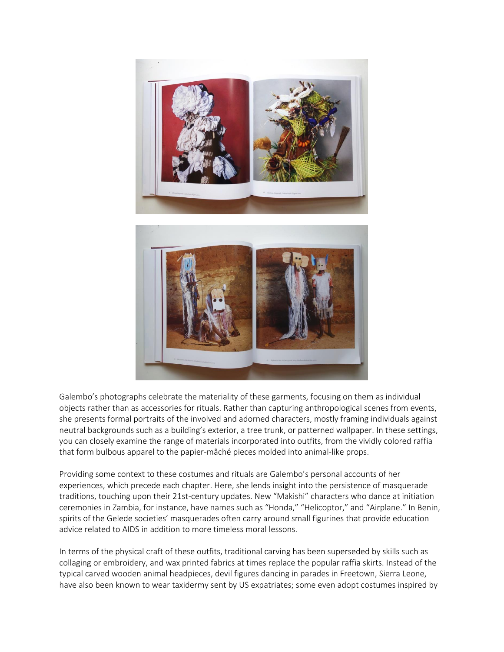



Galembo's photographs celebrate the materiality of these garments, focusing on them as individual objects rather than as accessories for rituals. Rather than capturing anthropological scenes from events, she presents formal portraits of the involved and adorned characters, mostly framing individuals against neutral backgrounds such as a building's exterior, a tree trunk, or patterned wallpaper. In these settings, you can closely examine the range of materials incorporated into outfits, from the vividly colored raffia that form bulbous apparel to the papier-mâché pieces molded into animal-like props.

Providing some context to these costumes and rituals are Galembo's personal accounts of her experiences, which precede each chapter. Here, she lends insight into the persistence of masquerade traditions, touching upon their 21st-century updates. New "Makishi" characters who dance at initiation ceremonies in Zambia, for instance, have names such as "Honda," "Helicoptor," and "Airplane." In Benin, spirits of the Gelede societies' masquerades often carry around small figurines that provide education advice related to AIDS in addition to more timeless moral lessons.

In terms of the physical craft of these outfits, traditional carving has been superseded by skills such as collaging or embroidery, and wax printed fabrics at times replace the popular raffia skirts. Instead of the typical carved wooden animal headpieces, devil figures dancing in parades in Freetown, Sierra Leone, have also been known to wear taxidermy sent by US expatriates; some even adopt costumes inspired by